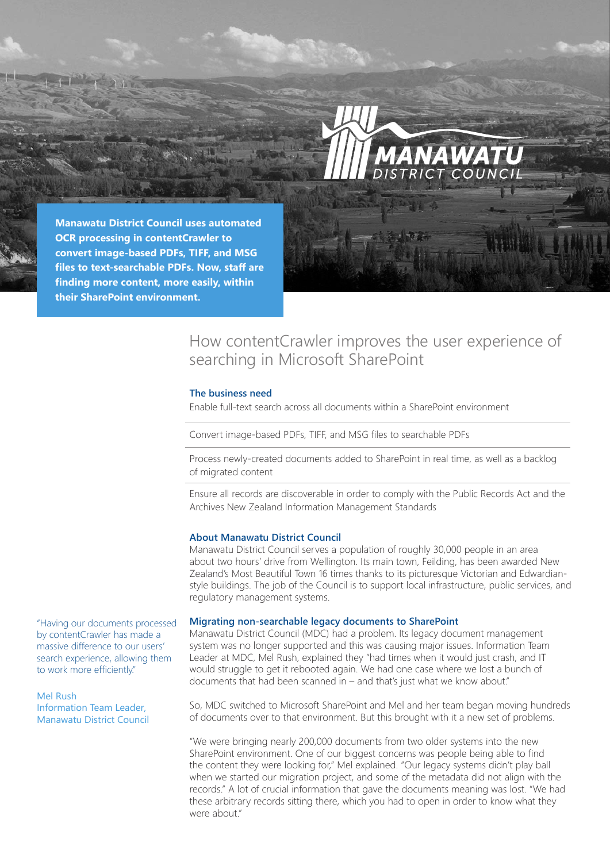

**Manawatu District Council uses automated OCR processing in contentCrawler to convert image-based PDFs, TIFF, and MSG files to text-searchable PDFs. Now, staff are finding more content, more easily, within their SharePoint environment.**

# How contentCrawler improves the user experience of searching in Microsoft SharePoint

## **The business need**

Enable full-text search across all documents within a SharePoint environment

Convert image-based PDFs, TIFF, and MSG files to searchable PDFs

Process newly-created documents added to SharePoint in real time, as well as a backlog of migrated content

Ensure all records are discoverable in order to comply with the Public Records Act and the Archives New Zealand Information Management Standards

### **About Manawatu District Council**

Manawatu District Council serves a population of roughly 30,000 people in an area about two hours' drive from Wellington. Its main town, Feilding, has been awarded New Zealand's Most Beautiful Town 16 times thanks to its picturesque Victorian and Edwardianstyle buildings. The job of the Council is to support local infrastructure, public services, and regulatory management systems.

## **Migrating non-searchable legacy documents to SharePoint**

Manawatu District Council (MDC) had a problem. Its legacy document management system was no longer supported and this was causing major issues. Information Team Leader at MDC, Mel Rush, explained they "had times when it would just crash, and IT would struggle to get it rebooted again. We had one case where we lost a bunch of documents that had been scanned in – and that's just what we know about."

So, MDC switched to Microsoft SharePoint and Mel and her team began moving hundreds of documents over to that environment. But this brought with it a new set of problems.

"We were bringing nearly 200,000 documents from two older systems into the new SharePoint environment. One of our biggest concerns was people being able to find the content they were looking for," Mel explained. "Our legacy systems didn't play ball when we started our migration project, and some of the metadata did not align with the records." A lot of crucial information that gave the documents meaning was lost. "We had these arbitrary records sitting there, which you had to open in order to know what they were about."

"Having our documents processed by contentCrawler has made a massive difference to our users' search experience, allowing them to work more efficiently."

# Mel Rush

Information Team Leader, Manawatu District Council